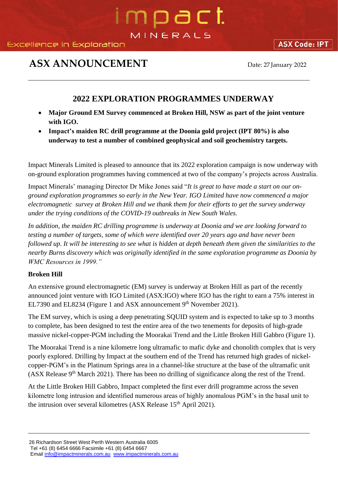# mpact MINERALS

### **ASX ANNOUNCEMENT** Date: 27 January 2022

**ASX Code: IPT** 

### **2022 EXPLORATION PROGRAMMES UNDERWAY**

- **Major Ground EM Survey commenced at Broken Hill, NSW as part of the joint venture with IGO.**
- **Impact's maiden RC drill programme at the Doonia gold project (IPT 80%) is also underway to test a number of combined geophysical and soil geochemistry targets.**

Impact Minerals Limited is pleased to announce that its 2022 exploration campaign is now underway with on-ground exploration programmes having commenced at two of the company's projects across Australia.

Impact Minerals' managing Director Dr Mike Jones said "*It is great to have made a start on our onground exploration programmes so early in the New Year. IGO Limited have now commenced a major electromagnetic survey at Broken Hill and we thank them for their efforts to get the survey underway under the trying conditions of the COVID-19 outbreaks in New South Wales.*

*In addition, the maiden RC drilling programme is underway at Doonia and we are looking forward to testing a number of targets, some of which were identified over 20 years ago and have never been followed up. It will be interesting to see what is hidden at depth beneath them given the similarities to the nearby Burns discovery which was originally identified in the same exploration programme as Doonia by WMC Resources in 1999."*

#### **Broken Hill**

An extensive ground electromagnetic (EM) survey is underway at Broken Hill as part of the recently announced joint venture with IGO Limited (ASX:IGO) where IGO has the right to earn a 75% interest in EL7390 and EL8234 (Figure 1 and ASX announcement 9<sup>th</sup> November 2021).

The EM survey, which is using a deep penetrating SQUID system and is expected to take up to 3 months to complete, has been designed to test the entire area of the two tenements for deposits of high-grade massive nickel-copper-PGM including the Moorakai Trend and the Little Broken Hill Gabbro (Figure 1).

The Moorakai Trend is a nine kilometre long ultramafic to mafic dyke and chonolith complex that is very poorly explored. Drilling by Impact at the southern end of the Trend has returned high grades of nickelcopper-PGM's in the Platinum Springs area in a channel-like structure at the base of the ultramafic unit (ASX Release 9th March 2021). There has been no drilling of significance along the rest of the Trend.

At the Little Broken Hill Gabbro, Impact completed the first ever drill programme across the seven kilometre long intrusion and identified numerous areas of highly anomalous PGM's in the basal unit to the intrusion over several kilometres (ASX Release 15<sup>th</sup> April 2021).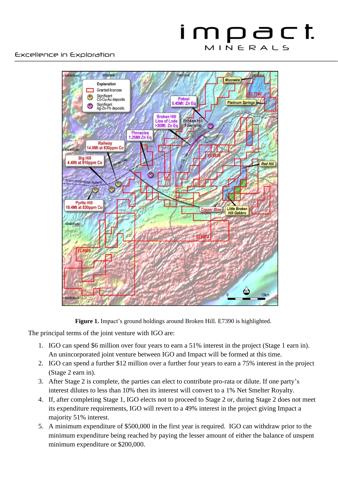### impact MINERALS



**Figure 1.** Impact's ground holdings around Broken Hill. E7390 is highlighted.

The principal terms of the joint venture with IGO are:

- 1. IGO can spend \$6 million over four years to earn a 51% interest in the project (Stage 1 earn in). An unincorporated joint venture between IGO and Impact will be formed at this time.
- 2. IGO can spend a further \$12 million over a further four years to earn a 75% interest in the project (Stage 2 earn in).
- 3. After Stage 2 is complete, the parties can elect to contribute pro-rata or dilute. If one party's interest dilutes to less than 10% then its interest will convert to a 1% Net Smelter Royalty.
- 4. If, after completing Stage 1, IGO elects not to proceed to Stage 2 or, during Stage 2 does not meet its expenditure requirements, IGO will revert to a 49% interest in the project giving Impact a majority 51% interest.
- 5. A minimum expenditure of \$500,000 in the first year is required. IGO can withdraw prior to the minimum expenditure being reached by paying the lesser amount of either the balance of unspent minimum expenditure or \$200,000.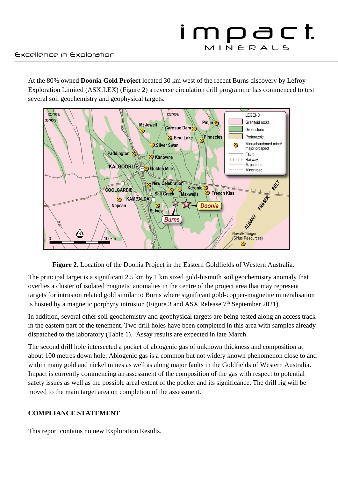At the 80% owned **Doonia Gold Project** located 30 km west of the recent Burns discovery by Lefroy Exploration Limited (ASX:LEX) (Figure 2) a reverse circulation drill programme has commenced to test several soil geochemistry and geophysical targets.





The principal target is a significant 2.5 km by 1 km sized gold-bismuth soil geochemistry anomaly that overlies a cluster of isolated magnetic anomalies in the centre of the project area that may represent targets for intrusion related gold similar to Burns where significant gold-copper-magnetite mineralisation is hosted by a magnetic porphyry intrusion (Figure 3 and ASX Release  $7<sup>th</sup>$  September 2021).

In addition, several other soil geochemistry and geophysical targets are being tested along an access track in the eastern part of the tenement. Two drill holes have been completed in this area with samples already dispatched to the laboratory (Table 1). Assay results are expected in late March.

The second drill hole intersected a pocket of abiogenic gas of unknown thickness and composition at about 100 metres down hole. Abiogenic gas is a common but not widely known phenomenon close to and within many gold and nickel mines as well as along major faults in the Goldfields of Western Australia. Impact is currently commencing an assessment of the composition of the gas with respect to potential safety issues as well as the possible areal extent of the pocket and its significance. The drill rig will be moved to the main target area on completion of the assessment.

#### **COMPLIANCE STATEMENT**

This report contains no new Exploration Results.